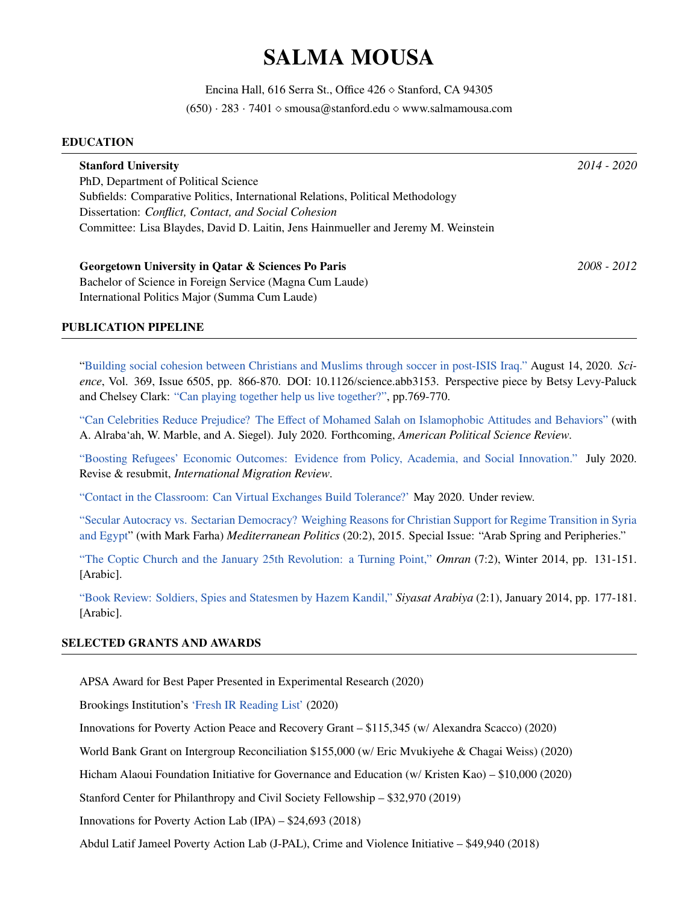# **SALMA MOUSA**

Encina Hall, 616 Serra St., Office 426 *⋄* Stanford, CA 94305 (650) *·* 283 *·* 7401 *⋄* smousa@stanford.edu *⋄* www.salmamousa.com

#### **EDUCATION**

| <b>Stanford University</b>                                                         | $2014 - 2020$ |
|------------------------------------------------------------------------------------|---------------|
| PhD, Department of Political Science                                               |               |
| Subfields: Comparative Politics, International Relations, Political Methodology    |               |
| Dissertation: Conflict, Contact, and Social Cohesion                               |               |
| Committee: Lisa Blaydes, David D. Laitin, Jens Hainmueller and Jeremy M. Weinstein |               |
| Georgetown University in Qatar & Sciences Po Paris                                 | $2008 - 2012$ |
|                                                                                    |               |
| Bachelor of Science in Foreign Service (Magna Cum Laude)                           |               |
| International Politics Major (Summa Cum Laude)                                     |               |

### **PUBLICATION PIPELINE**

["Building social cohesion between Christians and Muslims through soccer in post-ISIS Iraq."](https://science.sciencemag.org/content/369/6505/866) August 14, 2020. *Science*, Vol. 369, Issue 6505, pp. 866-870. DOI: 10.1126/science.abb3153. Perspective piece by Betsy Levy-Paluck and Chelsey Clark: ["Can playing together help us live together?",](https://science.sciencemag.org/content/369/6505/769.full) pp.769-770.

["Can Celebrities Reduce Prejudice? The Effect of Mohamed Salah on Islamophobic Attitudes and Behaviors"](https://osf.io/preprints/socarxiv/eq8ca/) (with A. Alraba'ah, W. Marble, and A. Siegel). July 2020. Forthcoming, *American Political Science Review*.

["Boosting Refugees' Economic Outcomes: Evidence from Policy, Academia, and Social Innovation."](https://static1.squarespace.com/static/59a360bacd0f681b1cb27caa/t/5f3a3adbde22531a4db55cd1/1597651676463/mousa-resettlement-evidence-2.pdf) July 2020. Revise & resubmit, *International Migration Review*.

["Contact in the Classroom: Can Virtual Exchanges Build Tolerance?'](https://static1.squarespace.com/static/59a360bacd0f681b1cb27caa/t/5fa0997cedce846b7d3e284e/1604360612885/mousa-virtual-contact-revised.pdf) May 2020. Under review.

["Secular Autocracy vs. Sectarian Democracy? Weighing Reasons for Christian Support for Regime Transition in Syria](https://www.tandfonline.com/doi/abs/10.1080/13629395.2015.1033903) [and Egypt](https://www.tandfonline.com/doi/abs/10.1080/13629395.2015.1033903)" (with Mark Farha) *Mediterranean Politics* (20:2), 2015. Special Issue: "Arab Spring and Peripheries."

["The Coptic Church and the January 25th Revolution: a Turning Point,"](https://bookstore.dohainstitute.org/p-480-25.aspx) *Omran* (7:2), Winter 2014, pp. 131-151. [Arabic].

["Book Review: Soldiers, Spies and Statesmen by Hazem Kandil,"](https://siyasatarabiya.dohainstitute.org/ar/issue006/Documents/Siyassat06-2014_Mussa.pdf) *Siyasat Arabiya* (2:1), January 2014, pp. 177-181. [Arabic].

### **SELECTED GRANTS AND AWARDS**

APSA Award for Best Paper Presented in Experimental Research (2020)

Brookings Institution's ['Fresh IR Reading List'](https://www.brookings.edu/blog/order-from-chaos/2020/09/08/beyond-the-classics-a-fresh-international-relations-reading-list-for-students/) (2020)

Innovations for Poverty Action Peace and Recovery Grant – \$115,345 (w/ Alexandra Scacco) (2020)

World Bank Grant on Intergroup Reconciliation \$155,000 (w/ Eric Mvukiyehe & Chagai Weiss) (2020)

Hicham Alaoui Foundation Initiative for Governance and Education (w/ Kristen Kao) – \$10,000 (2020)

Stanford Center for Philanthropy and Civil Society Fellowship – \$32,970 (2019)

Innovations for Poverty Action Lab (IPA) – \$24,693 (2018)

Abdul Latif Jameel Poverty Action Lab (J-PAL), Crime and Violence Initiative – \$49,940 (2018)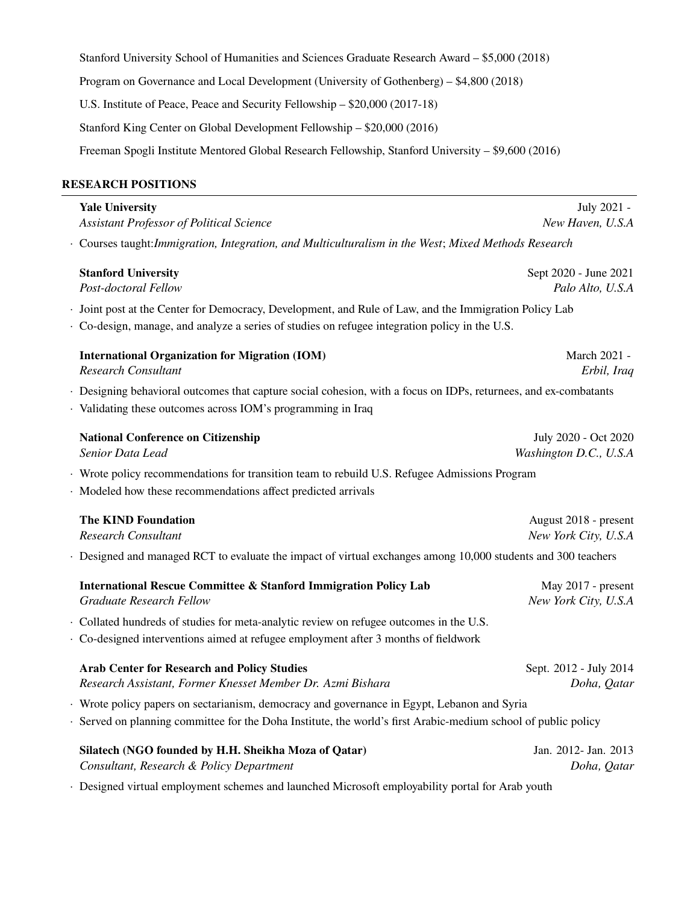Stanford University School of Humanities and Sciences Graduate Research Award – \$5,000 (2018) Program on Governance and Local Development (University of Gothenberg) – \$4,800 (2018) U.S. Institute of Peace, Peace and Security Fellowship – \$20,000 (2017-18) Stanford King Center on Global Development Fellowship – \$20,000 (2016) Freeman Spogli Institute Mentored Global Research Fellowship, Stanford University – \$9,600 (2016)

# **RESEARCH POSITIONS**

| <b>Yale University</b>                                                                                                                                                                                   | July 2021 -                                    |
|----------------------------------------------------------------------------------------------------------------------------------------------------------------------------------------------------------|------------------------------------------------|
| Assistant Professor of Political Science                                                                                                                                                                 | New Haven, U.S.A                               |
| · Courses taught: Immigration, Integration, and Multiculturalism in the West; Mixed Methods Research                                                                                                     |                                                |
| <b>Stanford University</b>                                                                                                                                                                               | Sept 2020 - June 2021                          |
| Post-doctoral Fellow                                                                                                                                                                                     | Palo Alto, U.S.A                               |
| · Joint post at the Center for Democracy, Development, and Rule of Law, and the Immigration Policy Lab<br>· Co-design, manage, and analyze a series of studies on refugee integration policy in the U.S. |                                                |
| <b>International Organization for Migration (IOM)</b><br><b>Research Consultant</b>                                                                                                                      | March 2021 -<br>Erbil, Iraq                    |
| · Designing behavioral outcomes that capture social cohesion, with a focus on IDPs, returnees, and ex-combatants<br>· Validating these outcomes across IOM's programming in Iraq                         |                                                |
| <b>National Conference on Citizenship</b><br>Senior Data Lead                                                                                                                                            | July 2020 - Oct 2020<br>Washington D.C., U.S.A |
|                                                                                                                                                                                                          |                                                |
| · Wrote policy recommendations for transition team to rebuild U.S. Refugee Admissions Program<br>· Modeled how these recommendations affect predicted arrivals                                           |                                                |
| <b>The KIND Foundation</b>                                                                                                                                                                               | August 2018 - present                          |
| <b>Research Consultant</b>                                                                                                                                                                               | New York City, U.S.A                           |
| · Designed and managed RCT to evaluate the impact of virtual exchanges among 10,000 students and 300 teachers                                                                                            |                                                |
| <b>International Rescue Committee &amp; Stanford Immigration Policy Lab</b><br><b>Graduate Research Fellow</b>                                                                                           | May 2017 - present<br>New York City, U.S.A     |
| · Collated hundreds of studies for meta-analytic review on refugee outcomes in the U.S.                                                                                                                  |                                                |
| · Co-designed interventions aimed at refugee employment after 3 months of fieldwork                                                                                                                      |                                                |
| <b>Arab Center for Research and Policy Studies</b><br>Research Assistant, Former Knesset Member Dr. Azmi Bishara                                                                                         | Sept. 2012 - July 2014<br>Doha, Qatar          |
| · Wrote policy papers on sectarianism, democracy and governance in Egypt, Lebanon and Syria                                                                                                              |                                                |
| · Served on planning committee for the Doha Institute, the world's first Arabic-medium school of public policy                                                                                           |                                                |
| Silatech (NGO founded by H.H. Sheikha Moza of Qatar)<br>Consultant, Research & Policy Department                                                                                                         | Jan. 2012- Jan. 2013<br>Doha, Qatar            |
|                                                                                                                                                                                                          |                                                |

*·* Designed virtual employment schemes and launched Microsoft employability portal for Arab youth